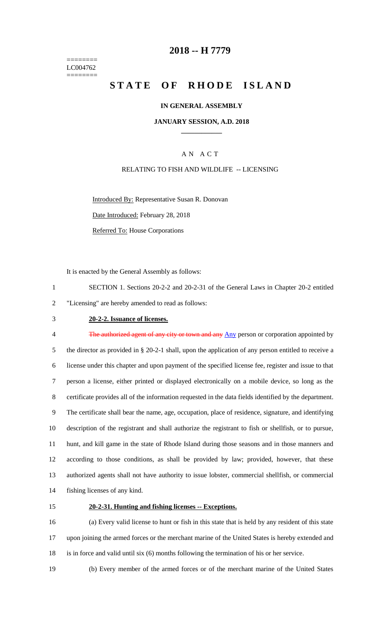======== LC004762 ========

## **2018 -- H 7779**

# **STATE OF RHODE ISLAND**

## **IN GENERAL ASSEMBLY**

### **JANUARY SESSION, A.D. 2018 \_\_\_\_\_\_\_\_\_\_\_\_**

## A N A C T

## RELATING TO FISH AND WILDLIFE -- LICENSING

Introduced By: Representative Susan R. Donovan

Date Introduced: February 28, 2018

Referred To: House Corporations

It is enacted by the General Assembly as follows:

1 SECTION 1. Sections 20-2-2 and 20-2-31 of the General Laws in Chapter 20-2 entitled 2 "Licensing" are hereby amended to read as follows:

## 3 **20-2-2. Issuance of licenses.**

4 The authorized agent of any city or town and any Any person or corporation appointed by the director as provided in § 20-2-1 shall, upon the application of any person entitled to receive a license under this chapter and upon payment of the specified license fee, register and issue to that person a license, either printed or displayed electronically on a mobile device, so long as the certificate provides all of the information requested in the data fields identified by the department. The certificate shall bear the name, age, occupation, place of residence, signature, and identifying description of the registrant and shall authorize the registrant to fish or shellfish, or to pursue, hunt, and kill game in the state of Rhode Island during those seasons and in those manners and according to those conditions, as shall be provided by law; provided, however, that these authorized agents shall not have authority to issue lobster, commercial shellfish, or commercial fishing licenses of any kind.

#### 15 **20-2-31. Hunting and fishing licenses -- Exceptions.**

16 (a) Every valid license to hunt or fish in this state that is held by any resident of this state 17 upon joining the armed forces or the merchant marine of the United States is hereby extended and 18 is in force and valid until six (6) months following the termination of his or her service.

19 (b) Every member of the armed forces or of the merchant marine of the United States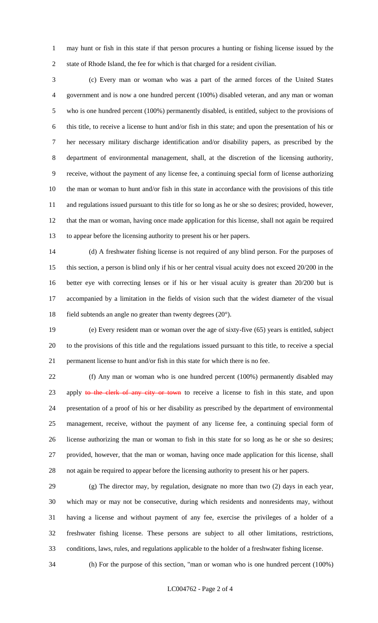may hunt or fish in this state if that person procures a hunting or fishing license issued by the state of Rhode Island, the fee for which is that charged for a resident civilian.

 (c) Every man or woman who was a part of the armed forces of the United States government and is now a one hundred percent (100%) disabled veteran, and any man or woman who is one hundred percent (100%) permanently disabled, is entitled, subject to the provisions of this title, to receive a license to hunt and/or fish in this state; and upon the presentation of his or her necessary military discharge identification and/or disability papers, as prescribed by the department of environmental management, shall, at the discretion of the licensing authority, receive, without the payment of any license fee, a continuing special form of license authorizing the man or woman to hunt and/or fish in this state in accordance with the provisions of this title and regulations issued pursuant to this title for so long as he or she so desires; provided, however, that the man or woman, having once made application for this license, shall not again be required to appear before the licensing authority to present his or her papers.

 (d) A freshwater fishing license is not required of any blind person. For the purposes of this section, a person is blind only if his or her central visual acuity does not exceed 20/200 in the better eye with correcting lenses or if his or her visual acuity is greater than 20/200 but is accompanied by a limitation in the fields of vision such that the widest diameter of the visual 18 field subtends an angle no greater than twenty degrees  $(20^{\circ})$ .

 (e) Every resident man or woman over the age of sixty-five (65) years is entitled, subject to the provisions of this title and the regulations issued pursuant to this title, to receive a special permanent license to hunt and/or fish in this state for which there is no fee.

 (f) Any man or woman who is one hundred percent (100%) permanently disabled may 23 apply to the clerk of any city or town to receive a license to fish in this state, and upon presentation of a proof of his or her disability as prescribed by the department of environmental management, receive, without the payment of any license fee, a continuing special form of license authorizing the man or woman to fish in this state for so long as he or she so desires; provided, however, that the man or woman, having once made application for this license, shall not again be required to appear before the licensing authority to present his or her papers.

 (g) The director may, by regulation, designate no more than two (2) days in each year, which may or may not be consecutive, during which residents and nonresidents may, without having a license and without payment of any fee, exercise the privileges of a holder of a freshwater fishing license. These persons are subject to all other limitations, restrictions, conditions, laws, rules, and regulations applicable to the holder of a freshwater fishing license.

(h) For the purpose of this section, "man or woman who is one hundred percent (100%)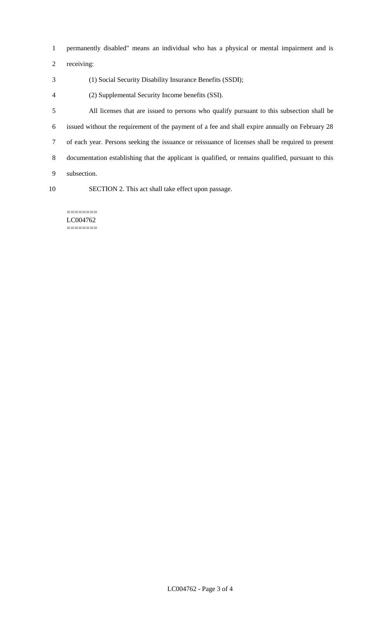- permanently disabled" means an individual who has a physical or mental impairment and is
- receiving:
- (1) Social Security Disability Insurance Benefits (SSDI);
- (2) Supplemental Security Income benefits (SSI).
- All licenses that are issued to persons who qualify pursuant to this subsection shall be issued without the requirement of the payment of a fee and shall expire annually on February 28 of each year. Persons seeking the issuance or reissuance of licenses shall be required to present documentation establishing that the applicant is qualified, or remains qualified, pursuant to this subsection.
- 

SECTION 2. This act shall take effect upon passage.

======== LC004762 ========